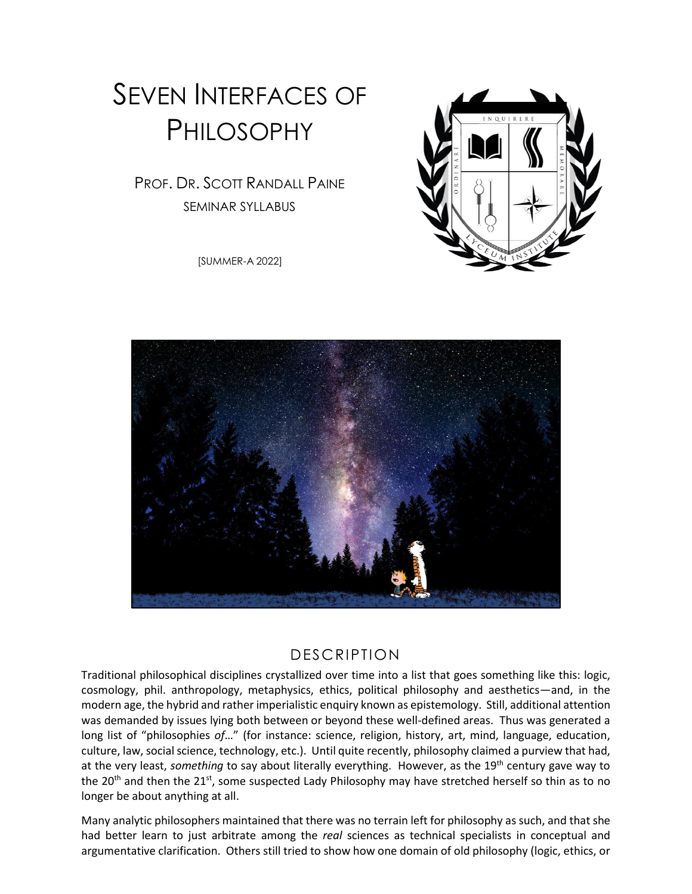# SEVEN INTERFACES OF PHILOSOPHY

PROF. DR. SCOTT RANDALL PAINE SEMINAR SYLLABUS

[SUMMER-A 2022]



#### DESCRIPTION

Traditional philosophical disciplines crystallized over time into a list that goes something like this: logic, cosmology, phil. anthropology, metaphysics, ethics, political philosophy and aesthetics—and, in the modern age, the hybrid and rather imperialistic enquiry known as epistemology. Still, additional attention was demanded by issues lying both between or beyond these well-defined areas. Thus was generated a long list of "philosophies *of*…" (for instance: science, religion, history, art, mind, language, education, culture, law, social science, technology, etc.). Until quite recently, philosophy claimed a purview that had, at the very least, *something* to say about literally everything. However, as the 19<sup>th</sup> century gave way to the 20<sup>th</sup> and then the 21<sup>st</sup>, some suspected Lady Philosophy may have stretched herself so thin as to no longer be about anything at all.

Many analytic philosophers maintained that there was no terrain left for philosophy as such, and that she had better learn to just arbitrate among the *real* sciences as technical specialists in conceptual and argumentative clarification. Others still tried to show how one domain of old philosophy (logic, ethics, or

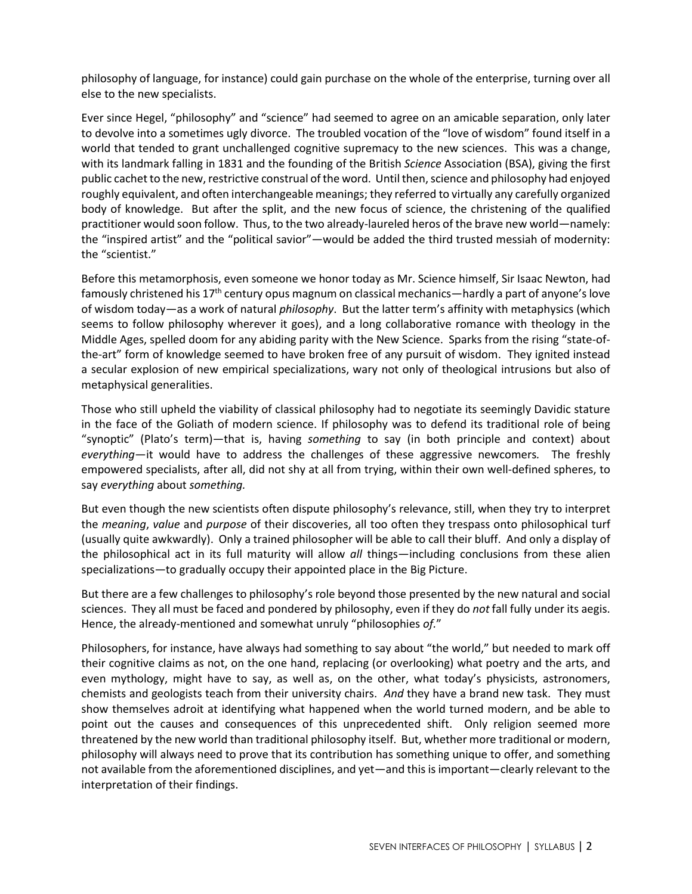philosophy of language, for instance) could gain purchase on the whole of the enterprise, turning over all else to the new specialists.

Ever since Hegel, "philosophy" and "science" had seemed to agree on an amicable separation, only later to devolve into a sometimes ugly divorce. The troubled vocation of the "love of wisdom" found itself in a world that tended to grant unchallenged cognitive supremacy to the new sciences. This was a change, with its landmark falling in 1831 and the founding of the British *Science* Association (BSA), giving the first public cachet to the new, restrictive construal of the word. Until then, science and philosophy had enjoyed roughly equivalent, and often interchangeable meanings; they referred to virtually any carefully organized body of knowledge. But after the split, and the new focus of science, the christening of the qualified practitioner would soon follow. Thus, to the two already-laureled heros of the brave new world—namely: the "inspired artist" and the "political savior"—would be added the third trusted messiah of modernity: the "scientist."

Before this metamorphosis, even someone we honor today as Mr. Science himself, Sir Isaac Newton, had famously christened his 17<sup>th</sup> century opus magnum on classical mechanics—hardly a part of anyone's love of wisdom today—as a work of natural *philosophy*. But the latter term's affinity with metaphysics (which seems to follow philosophy wherever it goes), and a long collaborative romance with theology in the Middle Ages, spelled doom for any abiding parity with the New Science. Sparks from the rising "state-ofthe-art" form of knowledge seemed to have broken free of any pursuit of wisdom. They ignited instead a secular explosion of new empirical specializations, wary not only of theological intrusions but also of metaphysical generalities.

Those who still upheld the viability of classical philosophy had to negotiate its seemingly Davidic stature in the face of the Goliath of modern science. If philosophy was to defend its traditional role of being "synoptic" (Plato's term)—that is, having *something* to say (in both principle and context) about *everything*—it would have to address the challenges of these aggressive newcomers*.* The freshly empowered specialists, after all, did not shy at all from trying, within their own well-defined spheres, to say *everything* about *something.* 

But even though the new scientists often dispute philosophy's relevance, still, when they try to interpret the *meaning*, *value* and *purpose* of their discoveries, all too often they trespass onto philosophical turf (usually quite awkwardly). Only a trained philosopher will be able to call their bluff. And only a display of the philosophical act in its full maturity will allow *all* things—including conclusions from these alien specializations—to gradually occupy their appointed place in the Big Picture.

But there are a few challenges to philosophy's role beyond those presented by the new natural and social sciences. They all must be faced and pondered by philosophy, even if they do *not* fall fully under its aegis. Hence, the already-mentioned and somewhat unruly "philosophies *of.*"

Philosophers, for instance, have always had something to say about "the world," but needed to mark off their cognitive claims as not, on the one hand, replacing (or overlooking) what poetry and the arts, and even mythology, might have to say, as well as, on the other, what today's physicists, astronomers, chemists and geologists teach from their university chairs. *And* they have a brand new task. They must show themselves adroit at identifying what happened when the world turned modern, and be able to point out the causes and consequences of this unprecedented shift. Only religion seemed more threatened by the new world than traditional philosophy itself. But, whether more traditional or modern, philosophy will always need to prove that its contribution has something unique to offer, and something not available from the aforementioned disciplines, and yet—and this is important—clearly relevant to the interpretation of their findings.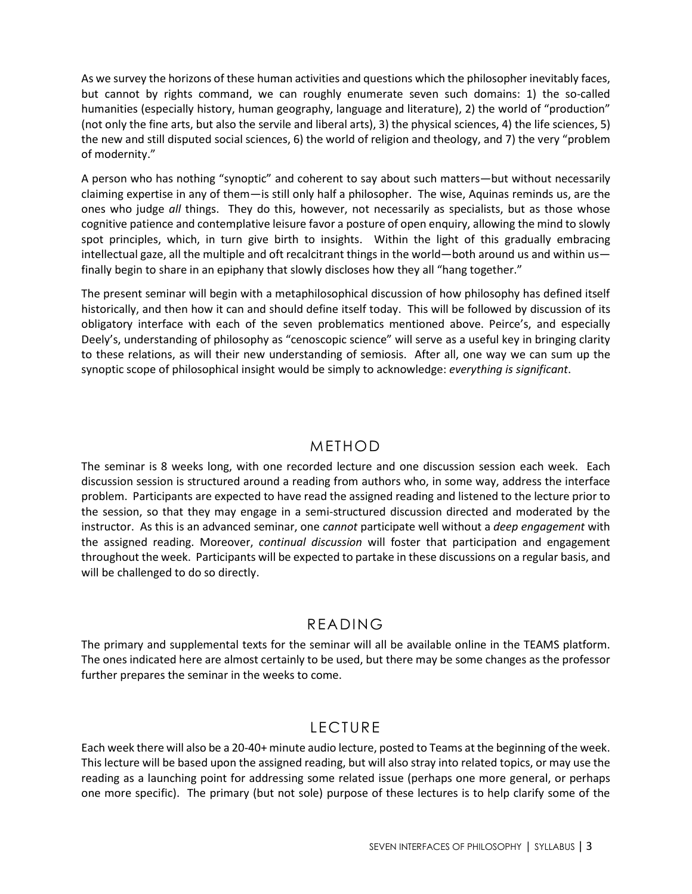As we survey the horizons of these human activities and questions which the philosopher inevitably faces, but cannot by rights command, we can roughly enumerate seven such domains: 1) the so-called humanities (especially history, human geography, language and literature), 2) the world of "production" (not only the fine arts, but also the servile and liberal arts), 3) the physical sciences, 4) the life sciences, 5) the new and still disputed social sciences, 6) the world of religion and theology, and 7) the very "problem of modernity."

A person who has nothing "synoptic" and coherent to say about such matters—but without necessarily claiming expertise in any of them—is still only half a philosopher. The wise, Aquinas reminds us, are the ones who judge *all* things. They do this, however, not necessarily as specialists, but as those whose cognitive patience and contemplative leisure favor a posture of open enquiry, allowing the mind to slowly spot principles, which, in turn give birth to insights. Within the light of this gradually embracing intellectual gaze, all the multiple and oft recalcitrant things in the world—both around us and within us finally begin to share in an epiphany that slowly discloses how they all "hang together."

The present seminar will begin with a metaphilosophical discussion of how philosophy has defined itself historically, and then how it can and should define itself today. This will be followed by discussion of its obligatory interface with each of the seven problematics mentioned above. Peirce's, and especially Deely's, understanding of philosophy as "cenoscopic science" will serve as a useful key in bringing clarity to these relations, as will their new understanding of semiosis. After all, one way we can sum up the synoptic scope of philosophical insight would be simply to acknowledge: *everything is significant*.

#### METHOD

The seminar is 8 weeks long, with one recorded lecture and one discussion session each week. Each discussion session is structured around a reading from authors who, in some way, address the interface problem. Participants are expected to have read the assigned reading and listened to the lecture prior to the session, so that they may engage in a semi-structured discussion directed and moderated by the instructor. As this is an advanced seminar, one *cannot* participate well without a *deep engagement* with the assigned reading. Moreover, *continual discussion* will foster that participation and engagement throughout the week. Participants will be expected to partake in these discussions on a regular basis, and will be challenged to do so directly.

#### READING

The primary and supplemental texts for the seminar will all be available online in the TEAMS platform. The ones indicated here are almost certainly to be used, but there may be some changes as the professor further prepares the seminar in the weeks to come.

## LECTURE

Each week there will also be a 20-40+ minute audio lecture, posted to Teams at the beginning of the week. This lecture will be based upon the assigned reading, but will also stray into related topics, or may use the reading as a launching point for addressing some related issue (perhaps one more general, or perhaps one more specific). The primary (but not sole) purpose of these lectures is to help clarify some of the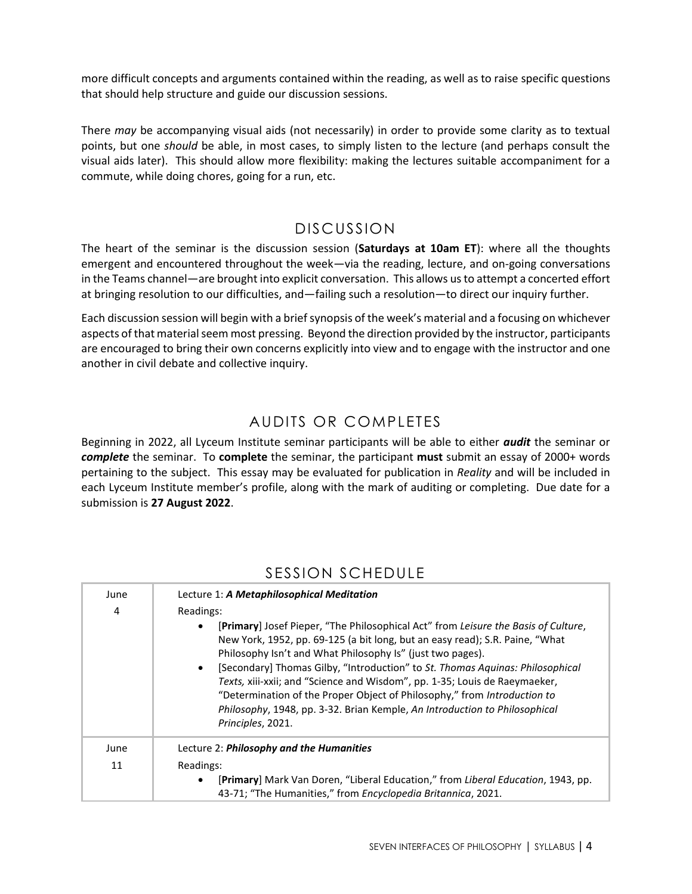more difficult concepts and arguments contained within the reading, as well as to raise specific questions that should help structure and guide our discussion sessions.

There *may* be accompanying visual aids (not necessarily) in order to provide some clarity as to textual points, but one *should* be able, in most cases, to simply listen to the lecture (and perhaps consult the visual aids later). This should allow more flexibility: making the lectures suitable accompaniment for a commute, while doing chores, going for a run, etc.

## DISCUSSION

The heart of the seminar is the discussion session (**Saturdays at 10am ET**): where all the thoughts emergent and encountered throughout the week—via the reading, lecture, and on-going conversations in the Teams channel—are brought into explicit conversation. This allows us to attempt a concerted effort at bringing resolution to our difficulties, and—failing such a resolution—to direct our inquiry further.

Each discussion session will begin with a brief synopsis of the week's material and a focusing on whichever aspects of that material seem most pressing. Beyond the direction provided by the instructor, participants are encouraged to bring their own concerns explicitly into view and to engage with the instructor and one another in civil debate and collective inquiry.

## AUDITS OR COMPLETES

Beginning in 2022, all Lyceum Institute seminar participants will be able to either *audit* the seminar or *complete* the seminar. To **complete** the seminar, the participant **must** submit an essay of 2000+ words pertaining to the subject. This essay may be evaluated for publication in *Reality* and will be included in each Lyceum Institute member's profile, along with the mark of auditing or completing. Due date for a submission is **27 August 2022**.

| June | Lecture 1: A Metaphilosophical Meditation                                                                                                                                                                                                                                                                                                                                                                                                                                                                                                                                      |
|------|--------------------------------------------------------------------------------------------------------------------------------------------------------------------------------------------------------------------------------------------------------------------------------------------------------------------------------------------------------------------------------------------------------------------------------------------------------------------------------------------------------------------------------------------------------------------------------|
| 4    | Readings:                                                                                                                                                                                                                                                                                                                                                                                                                                                                                                                                                                      |
|      | [Primary] Josef Pieper, "The Philosophical Act" from Leisure the Basis of Culture,<br>New York, 1952, pp. 69-125 (a bit long, but an easy read); S.R. Paine, "What<br>Philosophy Isn't and What Philosophy Is" (just two pages).<br>[Secondary] Thomas Gilby, "Introduction" to St. Thomas Aguinas: Philosophical<br>Texts, xiii-xxii; and "Science and Wisdom", pp. 1-35; Louis de Raeymaeker,<br>"Determination of the Proper Object of Philosophy," from Introduction to<br>Philosophy, 1948, pp. 3-32. Brian Kemple, An Introduction to Philosophical<br>Principles, 2021. |
| June | Lecture 2: <b>Philosophy and the Humanities</b>                                                                                                                                                                                                                                                                                                                                                                                                                                                                                                                                |
| 11   | Readings:                                                                                                                                                                                                                                                                                                                                                                                                                                                                                                                                                                      |
|      | [Primary] Mark Van Doren, "Liberal Education," from Liberal Education, 1943, pp.<br>43-71; "The Humanities," from Encyclopedia Britannica, 2021.                                                                                                                                                                                                                                                                                                                                                                                                                               |

## SESSION SCHEDULE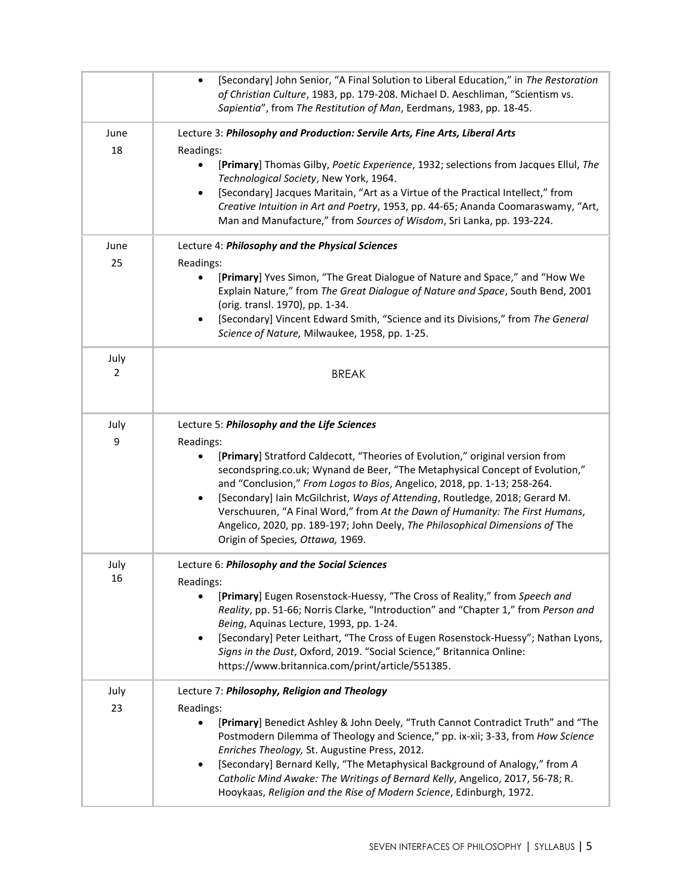|            | [Secondary] John Senior, "A Final Solution to Liberal Education," in The Restoration<br>$\bullet$<br>of Christian Culture, 1983, pp. 179-208. Michael D. Aeschliman, "Scientism vs.<br>Sapientia", from The Restitution of Man, Eerdmans, 1983, pp. 18-45.                                                                                                                                                                                                                                                                                |
|------------|-------------------------------------------------------------------------------------------------------------------------------------------------------------------------------------------------------------------------------------------------------------------------------------------------------------------------------------------------------------------------------------------------------------------------------------------------------------------------------------------------------------------------------------------|
| June<br>18 | Lecture 3: Philosophy and Production: Servile Arts, Fine Arts, Liberal Arts                                                                                                                                                                                                                                                                                                                                                                                                                                                               |
|            | Readings:<br>[Primary] Thomas Gilby, Poetic Experience, 1932; selections from Jacques Ellul, The<br>Technological Society, New York, 1964.<br>[Secondary] Jacques Maritain, "Art as a Virtue of the Practical Intellect," from<br>$\bullet$<br>Creative Intuition in Art and Poetry, 1953, pp. 44-65; Ananda Coomaraswamy, "Art,<br>Man and Manufacture," from Sources of Wisdom, Sri Lanka, pp. 193-224.                                                                                                                                 |
| June       | Lecture 4: Philosophy and the Physical Sciences                                                                                                                                                                                                                                                                                                                                                                                                                                                                                           |
| 25         | Readings:<br>[Primary] Yves Simon, "The Great Dialogue of Nature and Space," and "How We<br>Explain Nature," from The Great Dialogue of Nature and Space, South Bend, 2001<br>(orig. transl. 1970), pp. 1-34.<br>[Secondary] Vincent Edward Smith, "Science and its Divisions," from The General<br>Science of Nature, Milwaukee, 1958, pp. 1-25.                                                                                                                                                                                         |
| July<br>2  | <b>BREAK</b>                                                                                                                                                                                                                                                                                                                                                                                                                                                                                                                              |
| July       | Lecture 5: Philosophy and the Life Sciences                                                                                                                                                                                                                                                                                                                                                                                                                                                                                               |
| 9          | Readings:<br>[Primary] Stratford Caldecott, "Theories of Evolution," original version from<br>secondspring.co.uk; Wynand de Beer, "The Metaphysical Concept of Evolution,"<br>and "Conclusion," From Logos to Bios, Angelico, 2018, pp. 1-13; 258-264.<br>[Secondary] Iain McGilchrist, Ways of Attending, Routledge, 2018; Gerard M.<br>Verschuuren, "A Final Word," from At the Dawn of Humanity: The First Humans,<br>Angelico, 2020, pp. 189-197; John Deely, The Philosophical Dimensions of The<br>Origin of Species, Ottawa, 1969. |
| July       | Lecture 6: Philosophy and the Social Sciences                                                                                                                                                                                                                                                                                                                                                                                                                                                                                             |
| 16         | Readings:<br>[Primary] Eugen Rosenstock-Huessy, "The Cross of Reality," from Speech and<br>Reality, pp. 51-66; Norris Clarke, "Introduction" and "Chapter 1," from Person and<br>Being, Aquinas Lecture, 1993, pp. 1-24.<br>[Secondary] Peter Leithart, "The Cross of Eugen Rosenstock-Huessy"; Nathan Lyons,<br>Signs in the Dust, Oxford, 2019. "Social Science," Britannica Online:<br>https://www.britannica.com/print/article/551385.                                                                                                |
| July       | Lecture 7: Philosophy, Religion and Theology                                                                                                                                                                                                                                                                                                                                                                                                                                                                                              |
| 23         | Readings:<br>[Primary] Benedict Ashley & John Deely, "Truth Cannot Contradict Truth" and "The<br>Postmodern Dilemma of Theology and Science," pp. ix-xii; 3-33, from How Science<br>Enriches Theology, St. Augustine Press, 2012.<br>[Secondary] Bernard Kelly, "The Metaphysical Background of Analogy," from A<br>$\bullet$<br>Catholic Mind Awake: The Writings of Bernard Kelly, Angelico, 2017, 56-78; R.<br>Hooykaas, Religion and the Rise of Modern Science, Edinburgh, 1972.                                                     |